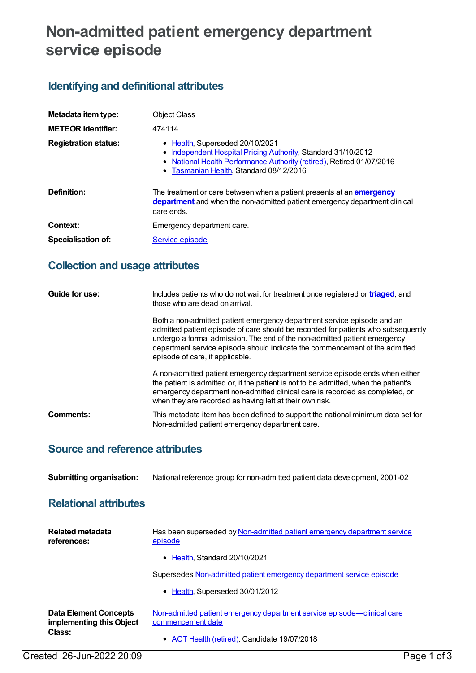# **Non-admitted patient emergency department service episode**

## **Identifying and definitional attributes**

| Metadata item type:         | <b>Object Class</b>                                                                                                                                                                                                     |
|-----------------------------|-------------------------------------------------------------------------------------------------------------------------------------------------------------------------------------------------------------------------|
| <b>METEOR identifier:</b>   | 474114                                                                                                                                                                                                                  |
| <b>Registration status:</b> | • Health, Superseded 20/10/2021<br>Independent Hospital Pricing Authority, Standard 31/10/2012<br>٠<br>• National Health Performance Authority (retired), Retired 01/07/2016<br>• Tasmanian Health, Standard 08/12/2016 |
| Definition:                 | The treatment or care between when a patient presents at an <b>emergency</b><br>department and when the non-admitted patient emergency department clinical<br>care ends.                                                |
| Context:                    | Emergency department care.                                                                                                                                                                                              |
| <b>Specialisation of:</b>   | Service episode                                                                                                                                                                                                         |

### **Collection and usage attributes**

| Guide for use: | Includes patients who do not wait for treatment once registered or <b>triaged</b> , and<br>those who are dead on arrival.                                                                                                                                                                                                                                   |
|----------------|-------------------------------------------------------------------------------------------------------------------------------------------------------------------------------------------------------------------------------------------------------------------------------------------------------------------------------------------------------------|
|                | Both a non-admitted patient emergency department service episode and an<br>admitted patient episode of care should be recorded for patients who subsequently<br>undergo a formal admission. The end of the non-admitted patient emergency<br>department service episode should indicate the commencement of the admitted<br>episode of care, if applicable. |
|                | A non-admitted patient emergency department service episode ends when either<br>the patient is admitted or, if the patient is not to be admitted, when the patient's<br>emergency department non-admitted clinical care is recorded as completed, or<br>when they are recorded as having left at their own risk.                                            |
| Comments:      | This metadata item has been defined to support the national minimum data set for<br>Non-admitted patient emergency department care.                                                                                                                                                                                                                         |

#### **Source and reference attributes**

**Submitting organisation:** National reference group for non-admitted patient data development, 2001-02

#### **Relational attributes**

| Related metadata<br>references:                          | Has been superseded by Non-admitted patient emergency department service<br>episode          |
|----------------------------------------------------------|----------------------------------------------------------------------------------------------|
|                                                          | • Health, Standard 20/10/2021                                                                |
|                                                          | Supersedes Non-admitted patient emergency department service episode                         |
|                                                          | • Health, Superseded 30/01/2012                                                              |
| <b>Data Element Concepts</b><br>implementing this Object | Non-admitted patient emergency department service episode—clinical care<br>commencement date |
| Class:                                                   | • ACT Health (retired), Candidate 19/07/2018                                                 |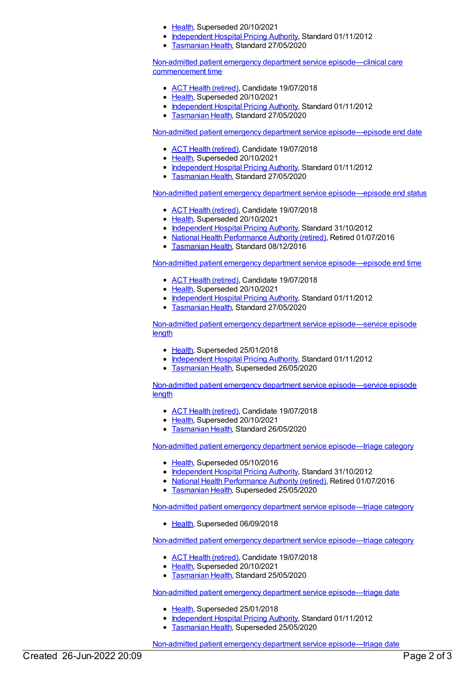- [Health](https://meteor.aihw.gov.au/RegistrationAuthority/12), Superseded 20/10/2021
- [Independent](https://meteor.aihw.gov.au/RegistrationAuthority/3) Hospital Pricing Authority, Standard 01/11/2012
	- [Tasmanian](https://meteor.aihw.gov.au/RegistrationAuthority/15) Health, Standard 27/05/2020

Non-admitted patient emergency department service [episode—clinical](https://meteor.aihw.gov.au/content/474122) care commencement time

- ACT Health [\(retired\)](https://meteor.aihw.gov.au/RegistrationAuthority/9), Candidate 19/07/2018
- [Health](https://meteor.aihw.gov.au/RegistrationAuthority/12), Superseded 20/10/2021
- [Independent](https://meteor.aihw.gov.au/RegistrationAuthority/3) Hospital Pricing Authority, Standard 01/11/2012
- [Tasmanian](https://meteor.aihw.gov.au/RegistrationAuthority/15) Health, Standard 27/05/2020

Non-admitted patient emergency department service [episode—episode](https://meteor.aihw.gov.au/content/474130) end date

- ACT Health [\(retired\)](https://meteor.aihw.gov.au/RegistrationAuthority/9), Candidate 19/07/2018
- [Health](https://meteor.aihw.gov.au/RegistrationAuthority/12), Superseded 20/10/2021
- [Independent](https://meteor.aihw.gov.au/RegistrationAuthority/3) Hospital Pricing Authority, Standard 01/11/2012
- [Tasmanian](https://meteor.aihw.gov.au/RegistrationAuthority/15) Health, Standard 27/05/2020

Non-admitted patient emergency department service [episode—episode](https://meteor.aihw.gov.au/content/474149) end status

- ACT Health [\(retired\)](https://meteor.aihw.gov.au/RegistrationAuthority/9), Candidate 19/07/2018
- [Health](https://meteor.aihw.gov.au/RegistrationAuthority/12), Superseded 20/10/2021
- [Independent](https://meteor.aihw.gov.au/RegistrationAuthority/3) Hospital Pricing Authority, Standard 31/10/2012
- National Health [Performance](https://meteor.aihw.gov.au/RegistrationAuthority/8) Authority (retired), Retired 01/07/2016
- **[Tasmanian](https://meteor.aihw.gov.au/RegistrationAuthority/15) Health, Standard 08/12/2016**

Non-admitted patient emergency department service [episode—episode](https://meteor.aihw.gov.au/content/474164) end time

- ACT Health [\(retired\)](https://meteor.aihw.gov.au/RegistrationAuthority/9), Candidate 19/07/2018
- [Health](https://meteor.aihw.gov.au/RegistrationAuthority/12), Superseded 20/10/2021
- [Independent](https://meteor.aihw.gov.au/RegistrationAuthority/3) Hospital Pricing Authority, Standard 01/11/2012
- **[Tasmanian](https://meteor.aihw.gov.au/RegistrationAuthority/15) Health, Standard 27/05/2020**

Non-admitted patient emergency department service [episode—service](https://meteor.aihw.gov.au/content/474178) episode length

- [Health](https://meteor.aihw.gov.au/RegistrationAuthority/12), Superseded 25/01/2018
- [Independent](https://meteor.aihw.gov.au/RegistrationAuthority/3) Hospital Pricing Authority, Standard 01/11/2012
- [Tasmanian](https://meteor.aihw.gov.au/RegistrationAuthority/15) Health, Superseded 26/05/2020

Non-admitted patient emergency department service [episode—service](https://meteor.aihw.gov.au/content/684861) episode length

- ACT Health [\(retired\)](https://meteor.aihw.gov.au/RegistrationAuthority/9), Candidate 19/07/2018
- [Health](https://meteor.aihw.gov.au/RegistrationAuthority/12), Superseded 20/10/2021
- **[Tasmanian](https://meteor.aihw.gov.au/RegistrationAuthority/15) Health, Standard 26/05/2020**

Non-admitted patient emergency department service [episode—triage](https://meteor.aihw.gov.au/content/474183) category

- [Health](https://meteor.aihw.gov.au/RegistrationAuthority/12), Superseded 05/10/2016
- [Independent](https://meteor.aihw.gov.au/RegistrationAuthority/3) Hospital Pricing Authority, Standard 31/10/2012
- National Health [Performance](https://meteor.aihw.gov.au/RegistrationAuthority/8) Authority (retired), Retired 01/07/2016
- [Tasmanian](https://meteor.aihw.gov.au/RegistrationAuthority/15) Health, Superseded 25/05/2020

Non-admitted patient emergency department service [episode—triage](https://meteor.aihw.gov.au/content/654147) category

• [Health](https://meteor.aihw.gov.au/RegistrationAuthority/12), Superseded 06/09/2018

Non-admitted patient emergency department service [episode—triage](https://meteor.aihw.gov.au/content/684869) category

- ACT Health [\(retired\)](https://meteor.aihw.gov.au/RegistrationAuthority/9), Candidate 19/07/2018
- [Health](https://meteor.aihw.gov.au/RegistrationAuthority/12), Superseded 20/10/2021
- [Tasmanian](https://meteor.aihw.gov.au/RegistrationAuthority/15) Health, Standard 25/05/2020

Non-admitted patient emergency department service [episode—triage](https://meteor.aihw.gov.au/content/474187) date

- [Health](https://meteor.aihw.gov.au/RegistrationAuthority/12), Superseded 25/01/2018
- [Independent](https://meteor.aihw.gov.au/RegistrationAuthority/3) Hospital Pricing Authority, Standard 01/11/2012
- [Tasmanian](https://meteor.aihw.gov.au/RegistrationAuthority/15) Health, Superseded 25/05/2020

Non-admitted patient emergency department service [episode—triage](https://meteor.aihw.gov.au/content/684888) date